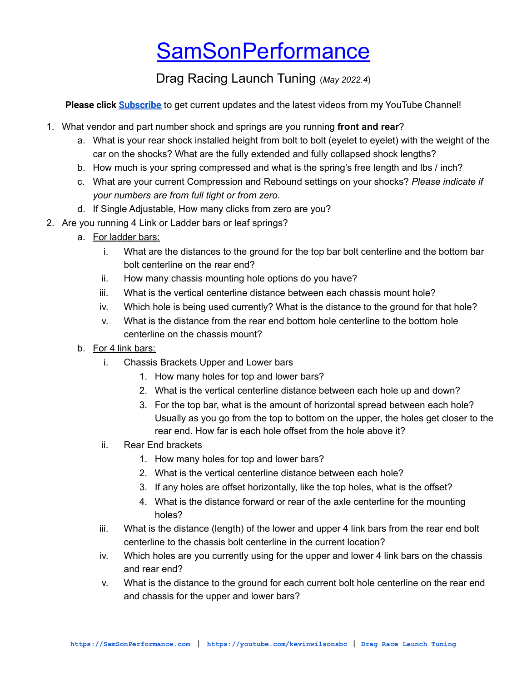## **[SamSonPerformance](https://samsonperformance.com)**

Drag Racing Launch Tuning (*May 2022.4*)

**Please click [Subscribe](https://www.youtube.com/KevinWilsonSBC?sub_confirmation=1)** to get current updates and the latest videos from my YouTube Channel!

- 1. What vendor and part number shock and springs are you running **front and rear**?
	- a. What is your rear shock installed height from bolt to bolt (eyelet to eyelet) with the weight of the car on the shocks? What are the fully extended and fully collapsed shock lengths?
	- b. How much is your spring compressed and what is the spring's free length and lbs / inch?
	- c. What are your current Compression and Rebound settings on your shocks? *Please indicate if your numbers are from full tight or from zero.*
	- d. If Single Adjustable, How many clicks from zero are you?
- 2. Are you running 4 Link or Ladder bars or leaf springs?
	- a. For ladder bars:
		- i. What are the distances to the ground for the top bar bolt centerline and the bottom bar bolt centerline on the rear end?
		- ii. How many chassis mounting hole options do you have?
		- iii. What is the vertical centerline distance between each chassis mount hole?
		- iv. Which hole is being used currently? What is the distance to the ground for that hole?
		- v. What is the distance from the rear end bottom hole centerline to the bottom hole centerline on the chassis mount?
	- b. For 4 link bars:
		- i. Chassis Brackets Upper and Lower bars
			- 1. How many holes for top and lower bars?
			- 2. What is the vertical centerline distance between each hole up and down?
			- 3. For the top bar, what is the amount of horizontal spread between each hole? Usually as you go from the top to bottom on the upper, the holes get closer to the rear end. How far is each hole offset from the hole above it?
		- ii. Rear End brackets
			- 1. How many holes for top and lower bars?
			- 2. What is the vertical centerline distance between each hole?
			- 3. If any holes are offset horizontally, like the top holes, what is the offset?
			- 4. What is the distance forward or rear of the axle centerline for the mounting holes?
		- iii. What is the distance (length) of the lower and upper 4 link bars from the rear end bolt centerline to the chassis bolt centerline in the current location?
		- iv. Which holes are you currently using for the upper and lower 4 link bars on the chassis and rear end?
		- v. What is the distance to the ground for each current bolt hole centerline on the rear end and chassis for the upper and lower bars?